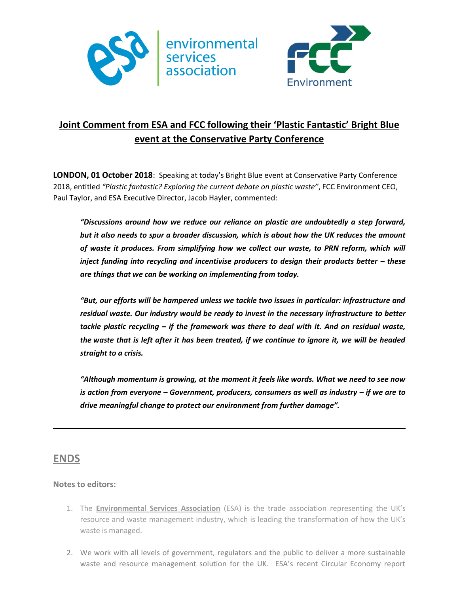



## **Joint Comment from ESA and FCC following their 'Plastic Fantastic' Bright Blue event at the Conservative Party Conference**

**LONDON, 01 October 2018**: Speaking at today's Bright Blue event at Conservative Party Conference 2018, entitled *"Plastic fantastic? Exploring the current debate on plastic waste"*, FCC Environment CEO, Paul Taylor, and ESA Executive Director, Jacob Hayler, commented:

*"Discussions around how we reduce our reliance on plastic are undoubtedly a step forward, but it also needs to spur a broader discussion, which is about how the UK reduces the amount of waste it produces. From simplifying how we collect our waste, to PRN reform, which will inject funding into recycling and incentivise producers to design their products better – these are things that we can be working on implementing from today.*

*"But, our efforts will be hampered unless we tackle two issues in particular: infrastructure and residual waste. Our industry would be ready to invest in the necessary infrastructure to better tackle plastic recycling – if the framework was there to deal with it. And on residual waste, the waste that is left after it has been treated, if we continue to ignore it, we will be headed straight to a crisis.*

*"Although momentum is growing, at the moment it feels like words. What we need to see now is action from everyone – Government, producers, consumers as well as industry – if we are to drive meaningful change to protect our environment from further damage".*

## **ENDS**

## **Notes to editors:**

- 1. The **Environmental Services Association** (ESA) is the trade association representing the UK's resource and waste management industry, which is leading the transformation of how the UK's waste is managed.
- 2. We work with all levels of government, regulators and the public to deliver a more sustainable waste and resource management solution for the UK. ESA's recent Circular Economy report